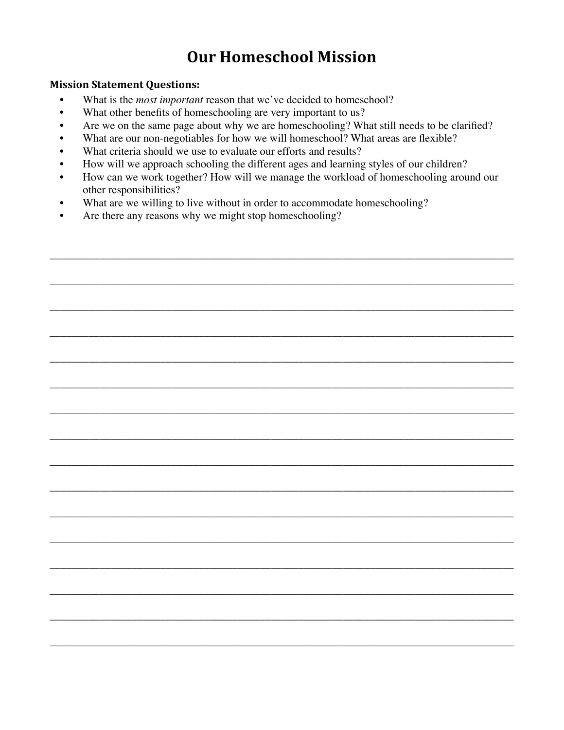# **Our Homeschool Mission**

#### **Mission Statement Questions:**

- What is the *most important* reason that we've decided to homeschool?
- What other benefits of homeschooling are very important to us?
- Are we on the same page about why we are homeschooling? What still needs to be clarified?
- What are our non-negotiables for how we will homeschool? What areas are flexible?
- What criteria should we use to evaluate our efforts and results?
- How will we approach schooling the different ages and learning styles of our children?
- How can we work together? How will we manage the workload of homeschooling around our other responsibilities?

\_\_\_\_\_\_\_\_\_\_\_\_\_\_\_\_\_\_\_\_\_\_\_\_\_\_\_\_\_\_\_\_\_\_\_\_\_\_\_\_\_\_\_\_\_\_\_\_\_\_\_\_\_\_\_\_\_\_\_\_\_\_\_\_\_\_\_\_\_\_\_\_\_\_\_\_\_\_\_\_\_\_\_\_

\_\_\_\_\_\_\_\_\_\_\_\_\_\_\_\_\_\_\_\_\_\_\_\_\_\_\_\_\_\_\_\_\_\_\_\_\_\_\_\_\_\_\_\_\_\_\_\_\_\_\_\_\_\_\_\_\_\_\_\_\_\_\_\_\_\_\_\_\_\_\_\_\_\_\_\_\_\_\_\_\_\_\_\_

\_\_\_\_\_\_\_\_\_\_\_\_\_\_\_\_\_\_\_\_\_\_\_\_\_\_\_\_\_\_\_\_\_\_\_\_\_\_\_\_\_\_\_\_\_\_\_\_\_\_\_\_\_\_\_\_\_\_\_\_\_\_\_\_\_\_\_\_\_\_\_\_\_\_\_\_\_\_\_\_\_\_\_\_

\_\_\_\_\_\_\_\_\_\_\_\_\_\_\_\_\_\_\_\_\_\_\_\_\_\_\_\_\_\_\_\_\_\_\_\_\_\_\_\_\_\_\_\_\_\_\_\_\_\_\_\_\_\_\_\_\_\_\_\_\_\_\_\_\_\_\_\_\_\_\_\_\_\_\_\_\_\_\_\_\_\_\_\_

\_\_\_\_\_\_\_\_\_\_\_\_\_\_\_\_\_\_\_\_\_\_\_\_\_\_\_\_\_\_\_\_\_\_\_\_\_\_\_\_\_\_\_\_\_\_\_\_\_\_\_\_\_\_\_\_\_\_\_\_\_\_\_\_\_\_\_\_\_\_\_\_\_\_\_\_\_\_\_\_\_\_\_\_

\_\_\_\_\_\_\_\_\_\_\_\_\_\_\_\_\_\_\_\_\_\_\_\_\_\_\_\_\_\_\_\_\_\_\_\_\_\_\_\_\_\_\_\_\_\_\_\_\_\_\_\_\_\_\_\_\_\_\_\_\_\_\_\_\_\_\_\_\_\_\_\_\_\_\_\_\_\_\_\_\_\_\_\_

\_\_\_\_\_\_\_\_\_\_\_\_\_\_\_\_\_\_\_\_\_\_\_\_\_\_\_\_\_\_\_\_\_\_\_\_\_\_\_\_\_\_\_\_\_\_\_\_\_\_\_\_\_\_\_\_\_\_\_\_\_\_\_\_\_\_\_\_\_\_\_\_\_\_\_\_\_\_\_\_\_\_\_\_

\_\_\_\_\_\_\_\_\_\_\_\_\_\_\_\_\_\_\_\_\_\_\_\_\_\_\_\_\_\_\_\_\_\_\_\_\_\_\_\_\_\_\_\_\_\_\_\_\_\_\_\_\_\_\_\_\_\_\_\_\_\_\_\_\_\_\_\_\_\_\_\_\_\_\_\_\_\_\_\_\_\_\_\_

\_\_\_\_\_\_\_\_\_\_\_\_\_\_\_\_\_\_\_\_\_\_\_\_\_\_\_\_\_\_\_\_\_\_\_\_\_\_\_\_\_\_\_\_\_\_\_\_\_\_\_\_\_\_\_\_\_\_\_\_\_\_\_\_\_\_\_\_\_\_\_\_\_\_\_\_\_\_\_\_\_\_\_\_

\_\_\_\_\_\_\_\_\_\_\_\_\_\_\_\_\_\_\_\_\_\_\_\_\_\_\_\_\_\_\_\_\_\_\_\_\_\_\_\_\_\_\_\_\_\_\_\_\_\_\_\_\_\_\_\_\_\_\_\_\_\_\_\_\_\_\_\_\_\_\_\_\_\_\_\_\_\_\_\_\_\_\_\_

\_\_\_\_\_\_\_\_\_\_\_\_\_\_\_\_\_\_\_\_\_\_\_\_\_\_\_\_\_\_\_\_\_\_\_\_\_\_\_\_\_\_\_\_\_\_\_\_\_\_\_\_\_\_\_\_\_\_\_\_\_\_\_\_\_\_\_\_\_\_\_\_\_\_\_\_\_\_\_\_\_\_\_\_

\_\_\_\_\_\_\_\_\_\_\_\_\_\_\_\_\_\_\_\_\_\_\_\_\_\_\_\_\_\_\_\_\_\_\_\_\_\_\_\_\_\_\_\_\_\_\_\_\_\_\_\_\_\_\_\_\_\_\_\_\_\_\_\_\_\_\_\_\_\_\_\_\_\_\_\_\_\_\_\_\_\_\_\_

\_\_\_\_\_\_\_\_\_\_\_\_\_\_\_\_\_\_\_\_\_\_\_\_\_\_\_\_\_\_\_\_\_\_\_\_\_\_\_\_\_\_\_\_\_\_\_\_\_\_\_\_\_\_\_\_\_\_\_\_\_\_\_\_\_\_\_\_\_\_\_\_\_\_\_\_\_\_\_\_\_\_\_\_

\_\_\_\_\_\_\_\_\_\_\_\_\_\_\_\_\_\_\_\_\_\_\_\_\_\_\_\_\_\_\_\_\_\_\_\_\_\_\_\_\_\_\_\_\_\_\_\_\_\_\_\_\_\_\_\_\_\_\_\_\_\_\_\_\_\_\_\_\_\_\_\_\_\_\_\_\_\_\_\_\_\_\_\_

\_\_\_\_\_\_\_\_\_\_\_\_\_\_\_\_\_\_\_\_\_\_\_\_\_\_\_\_\_\_\_\_\_\_\_\_\_\_\_\_\_\_\_\_\_\_\_\_\_\_\_\_\_\_\_\_\_\_\_\_\_\_\_\_\_\_\_\_\_\_\_\_\_\_\_\_\_\_\_\_\_\_\_\_

\_\_\_\_\_\_\_\_\_\_\_\_\_\_\_\_\_\_\_\_\_\_\_\_\_\_\_\_\_\_\_\_\_\_\_\_\_\_\_\_\_\_\_\_\_\_\_\_\_\_\_\_\_\_\_\_\_\_\_\_\_\_\_\_\_\_\_\_\_\_\_\_\_\_\_\_\_\_\_\_\_\_\_\_

- What are we willing to live without in order to accommodate homeschooling?
- Are there any reasons why we might stop homeschooling?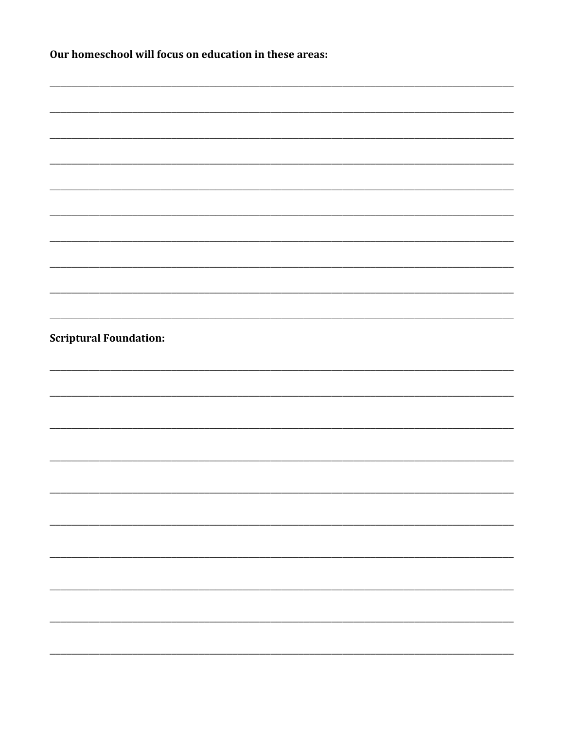| Our homeschool will focus on education in these areas: |
|--------------------------------------------------------|
|                                                        |
|                                                        |
|                                                        |
|                                                        |
|                                                        |
|                                                        |
|                                                        |
|                                                        |
|                                                        |
| <b>Scriptural Foundation:</b>                          |
|                                                        |
|                                                        |
|                                                        |
|                                                        |
|                                                        |
|                                                        |
|                                                        |
|                                                        |
|                                                        |
|                                                        |
|                                                        |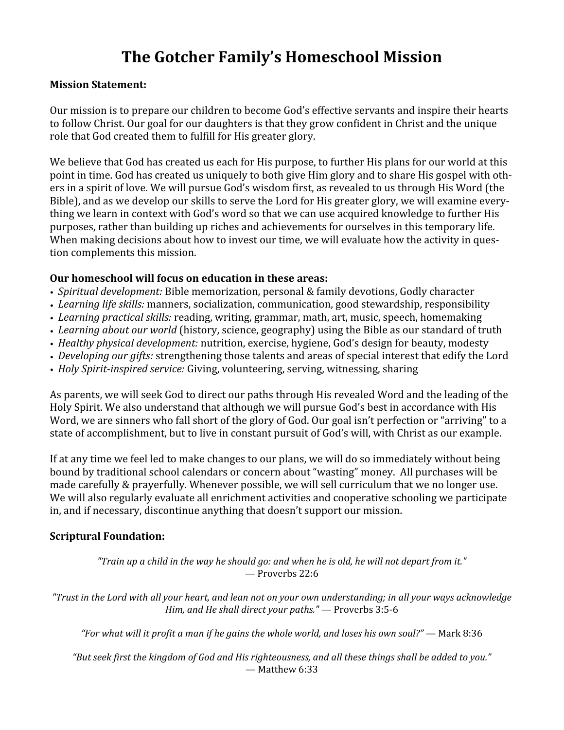# **The Gotcher Family's Homeschool Mission**

### **Mission Statement:**

Our mission is to prepare our children to become God's effective servants and inspire their hearts to follow Christ. Our goal for our daughters is that they grow confident in Christ and the unique role that God created them to fulfill for His greater glory.

We believe that God has created us each for His purpose, to further His plans for our world at this point in time. God has created us uniquely to both give Him glory and to share His gospel with others in a spirit of love. We will pursue God's wisdom first, as revealed to us through His Word (the Bible), and as we develop our skills to serve the Lord for His greater glory, we will examine everything
we
learn
in
context
with
God's
word
so
that
we
can
use
acquired
knowledge
to
further
His purposes,
rather
than
building
up
riches
and
achievements
for
ourselves
in
this
temporary
life. When making decisions about how to invest our time, we will evaluate how the activity in question
complements
this
mission.

## **Our homeschool will focus on education in these areas:**

- *Spiritual development:* Bible memorization, personal & family devotions, Godly character
- Learning life skills: manners, socialization, communication, good stewardship, responsibility
- Learning practical skills: reading, writing, grammar, math, art, music, speech, homemaking
- Learning about our world (history, science, geography) using the Bible as our standard of truth
- *Healthy physical development:* nutrition, exercise, hygiene, God's design for beauty, modesty
- Developing our gifts: strengthening those talents and areas of special interest that edify the Lord
- Holy Spirit-inspired service: Giving, volunteering, serving, witnessing, sharing

As parents, we will seek God to direct our paths through His revealed Word and the leading of the Holy Spirit. We also understand that although we will pursue God's best in accordance with His Word, we are sinners who fall short of the glory of God. Our goal isn't perfection or "arriving" to a state of accomplishment, but to live in constant pursuit of God's will, with Christ as our example.

If
at
any
time
we
feel
led
to
make
changes
to
our
plans,
we
will
do
so
immediately
without
being bound by traditional school calendars or concern about "wasting" money. All purchases will be made
carefully
&
prayerfully.
Whenever
possible,
we
will
sell
curriculum
that
we
no
longer
use. We will also regularly evaluate all enrichment activities and cooperative schooling we participate in,
and
if
necessary,
discontinue
anything
that
doesn't
support
our
mission.

## **Scriptural Foundation:**

*"Train up a child in the way he should go: and when he is old, he will not depart from it."* —
Proverbs
22:6

*"Trust in the Lord with all your heart, and lean not on your own understanding; in all your ways acknowledge Him, and He shall direct your paths."*—
Proverbs
3:5‐6

"For what will it profit a man if he gains the whole world, and loses his own soul?" — Mark 8:36

*"But seek Eirst the kingdom of God and His righteousness, and all these things shall be added to you."*  —
Matthew
6:33